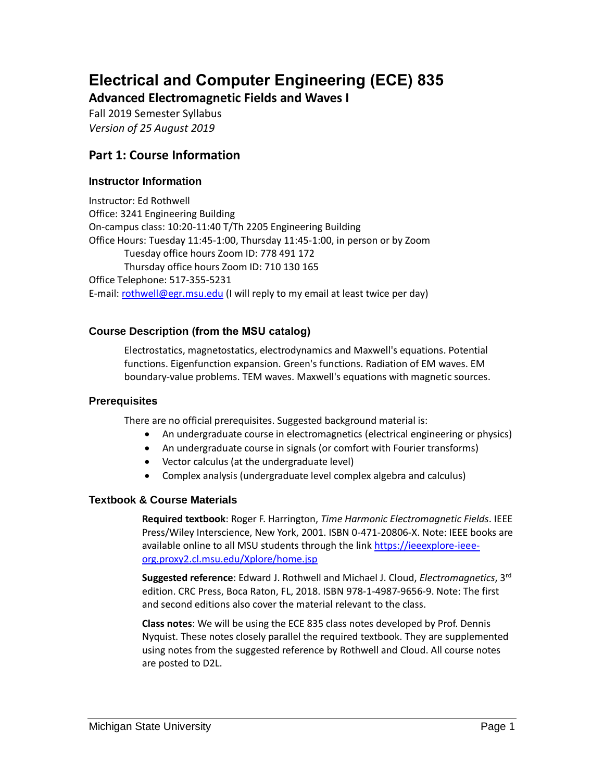# **Electrical and Computer Engineering (ECE) 835**

**Advanced Electromagnetic Fields and Waves I**

Fall 2019 Semester Syllabus *Version of 25 August 2019*

# **Part 1: Course Information**

## **Instructor Information**

Instructor: Ed Rothwell Office: 3241 Engineering Building On-campus class: 10:20-11:40 T/Th 2205 Engineering Building Office Hours: Tuesday 11:45-1:00, Thursday 11:45-1:00, in person or by Zoom Tuesday office hours Zoom ID: 778 491 172 Thursday office hours Zoom ID: 710 130 165 Office Telephone: 517-355-5231 E-mail: [rothwell@egr.msu.edu](mailto:rothwell@egr.msu.edu) (I will reply to my email at least twice per day)

## **Course Description (from the MSU catalog)**

Electrostatics, magnetostatics, electrodynamics and Maxwell's equations. Potential functions. Eigenfunction expansion. Green's functions. Radiation of EM waves. EM boundary-value problems. TEM waves. Maxwell's equations with magnetic sources.

### **Prerequisites**

There are no official prerequisites. Suggested background material is:

- An undergraduate course in electromagnetics (electrical engineering or physics)
- An undergraduate course in signals (or comfort with Fourier transforms)
- Vector calculus (at the undergraduate level)
- Complex analysis (undergraduate level complex algebra and calculus)

### **Textbook & Course Materials**

**Required textbook**: Roger F. Harrington, *Time Harmonic Electromagnetic Fields*. IEEE Press/Wiley Interscience, New York, 2001. ISBN 0-471-20806-X. Note: IEEE books are available online to all MSU students through the link [https://ieeexplore-ieee](https://ieeexplore-ieee-org.proxy2.cl.msu.edu/Xplore/home.jsp)[org.proxy2.cl.msu.edu/Xplore/home.jsp](https://ieeexplore-ieee-org.proxy2.cl.msu.edu/Xplore/home.jsp)

**Suggested reference**: Edward J. Rothwell and Michael J. Cloud, *Electromagnetics*, 3rd edition. CRC Press, Boca Raton, FL, 2018. ISBN 978-1-4987-9656-9. Note: The first and second editions also cover the material relevant to the class.

**Class notes**: We will be using the ECE 835 class notes developed by Prof. Dennis Nyquist. These notes closely parallel the required textbook. They are supplemented using notes from the suggested reference by Rothwell and Cloud. All course notes are posted to D2L.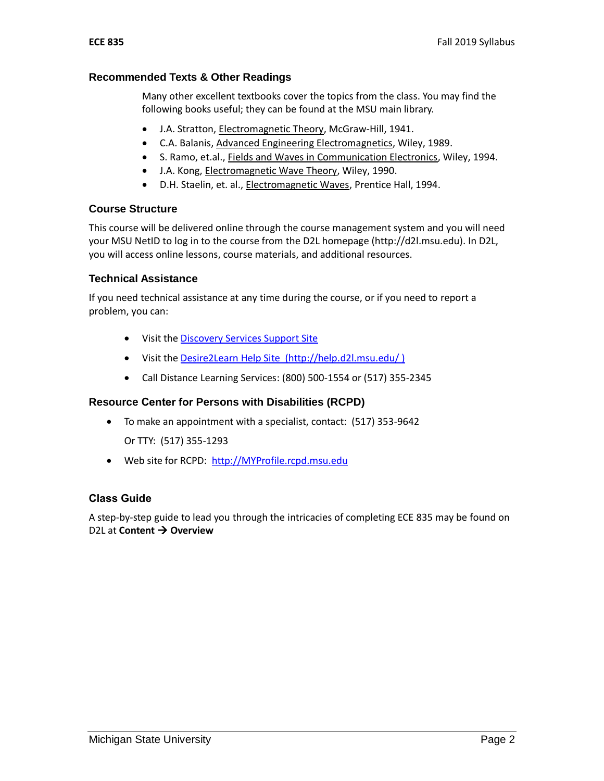#### **Recommended Texts & Other Readings**

Many other excellent textbooks cover the topics from the class. You may find the following books useful; they can be found at the MSU main library.

- J.A. Stratton, Electromagnetic Theory, McGraw-Hill, 1941.
- C.A. Balanis, Advanced Engineering Electromagnetics, Wiley, 1989.
- S. Ramo, et.al., Fields and Waves in Communication Electronics, Wiley, 1994.
- J.A. Kong, Electromagnetic Wave Theory, Wiley, 1990.
- D.H. Staelin, et. al., Electromagnetic Waves, Prentice Hall, 1994.

### **Course Structure**

This course will be delivered online through the course management system and you will need your MSU NetID to log in to the course from the D2L homepage (http://d2l.msu.edu). In D2L, you will access online lessons, course materials, and additional resources.

#### **Technical Assistance**

If you need technical assistance at any time during the course, or if you need to report a problem, you can:

- Visit the Discovery [Services Support Site](https://www.lib.msu.edu/dls/)
- Visit the [Desire2Learn Help Site \(http://help.d2l.msu.edu/](http://help.d2l.msu.edu/) )
- Call Distance Learning Services: (800) 500-1554 or (517) 355-2345

#### **Resource Center for Persons with Disabilities (RCPD)**

To make an appointment with a specialist, contact: (517) 353-9642

Or TTY: (517) 355-1293

Web site for RCPD: [http://MYProfile.rcpd.msu.edu](http://myprofile.rcpd.msu.edu/)

### **Class Guide**

A step-by-step guide to lead you through the intricacies of completing ECE 835 may be found on D2L at **Content Overview**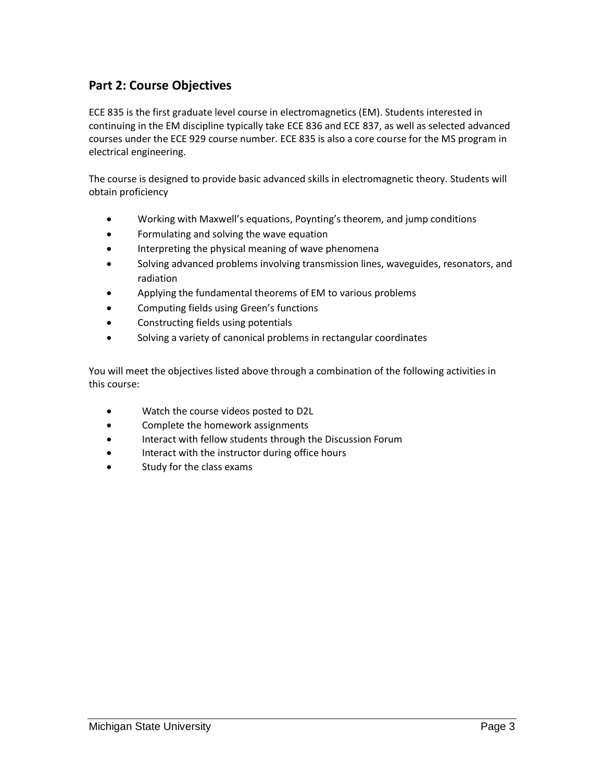## **Part 2: Course Objectives**

ECE 835 is the first graduate level course in electromagnetics (EM). Students interested in continuing in the EM discipline typically take ECE 836 and ECE 837, as well as selected advanced courses under the ECE 929 course number. ECE 835 is also a core course for the MS program in electrical engineering.

The course is designed to provide basic advanced skills in electromagnetic theory. Students will obtain proficiency

- Working with Maxwell's equations, Poynting's theorem, and jump conditions
- Formulating and solving the wave equation
- **•** Interpreting the physical meaning of wave phenomena
- Solving advanced problems involving transmission lines, waveguides, resonators, and radiation
- Applying the fundamental theorems of EM to various problems
- Computing fields using Green's functions
- Constructing fields using potentials
- Solving a variety of canonical problems in rectangular coordinates

You will meet the objectives listed above through a combination of the following activities in this course:

- Watch the course videos posted to D2L
- Complete the homework assignments
- Interact with fellow students through the Discussion Forum
- Interact with the instructor during office hours
- Study for the class exams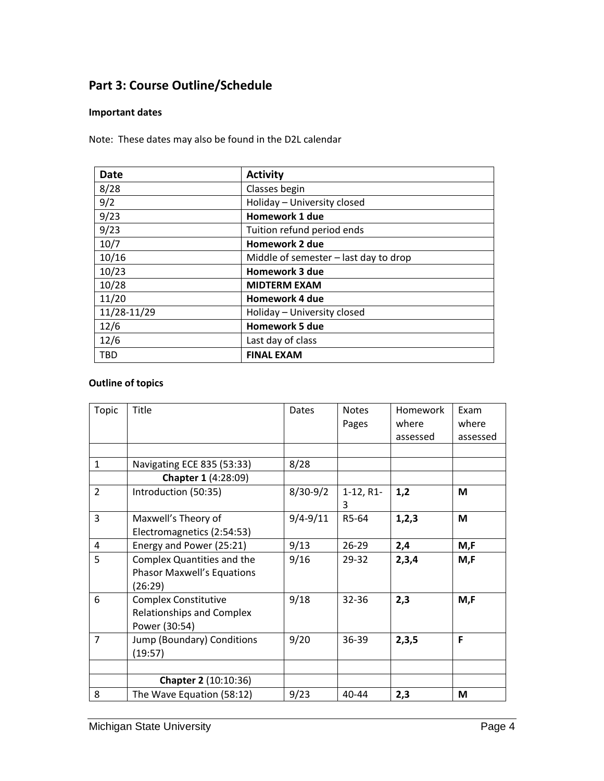# **Part 3: Course Outline/Schedule**

#### **Important dates**

Note: These dates may also be found in the D2L calendar

| <b>Date</b> | <b>Activity</b>                       |  |  |
|-------------|---------------------------------------|--|--|
| 8/28        | Classes begin                         |  |  |
| 9/2         | Holiday - University closed           |  |  |
| 9/23        | <b>Homework 1 due</b>                 |  |  |
| 9/23        | Tuition refund period ends            |  |  |
| 10/7        | Homework 2 due                        |  |  |
| 10/16       | Middle of semester - last day to drop |  |  |
| 10/23       | <b>Homework 3 due</b>                 |  |  |
| 10/28       | <b>MIDTERM EXAM</b>                   |  |  |
| 11/20       | Homework 4 due                        |  |  |
| 11/28-11/29 | Holiday - University closed           |  |  |
| 12/6        | Homework 5 due                        |  |  |
| 12/6        | Last day of class                     |  |  |
| <b>TBD</b>  | <b>FINAL EXAM</b>                     |  |  |

## **Outline of topics**

| Topic          | Title                                                                            | Dates        | <b>Notes</b>     | Homework | Exam     |
|----------------|----------------------------------------------------------------------------------|--------------|------------------|----------|----------|
|                |                                                                                  |              | Pages            | where    | where    |
|                |                                                                                  |              |                  | assessed | assessed |
|                |                                                                                  |              |                  |          |          |
| $\mathbf{1}$   | Navigating ECE 835 (53:33)                                                       | 8/28         |                  |          |          |
|                | <b>Chapter 1 (4:28:09)</b>                                                       |              |                  |          |          |
| $\overline{2}$ | Introduction (50:35)                                                             | $8/30-9/2$   | $1-12, R1-$<br>3 | 1,2      | M        |
| 3              | Maxwell's Theory of<br>Electromagnetics (2:54:53)                                | $9/4 - 9/11$ | R5-64            | 1, 2, 3  | M        |
| 4              | Energy and Power (25:21)                                                         | 9/13         | $26 - 29$        | 2,4      | M,F      |
| 5              | Complex Quantities and the<br><b>Phasor Maxwell's Equations</b><br>(26:29)       | 9/16         | 29-32            | 2,3,4    | M.F      |
| 6              | <b>Complex Constitutive</b><br><b>Relationships and Complex</b><br>Power (30:54) | 9/18         | $32 - 36$        | 2,3      | M,F      |
| $\overline{7}$ | Jump (Boundary) Conditions<br>(19:57)                                            | 9/20         | 36-39            | 2,3,5    | F        |
|                |                                                                                  |              |                  |          |          |
|                | Chapter 2 (10:10:36)                                                             |              |                  |          |          |
| 8              | The Wave Equation (58:12)                                                        | 9/23         | 40-44            | 2,3      | М        |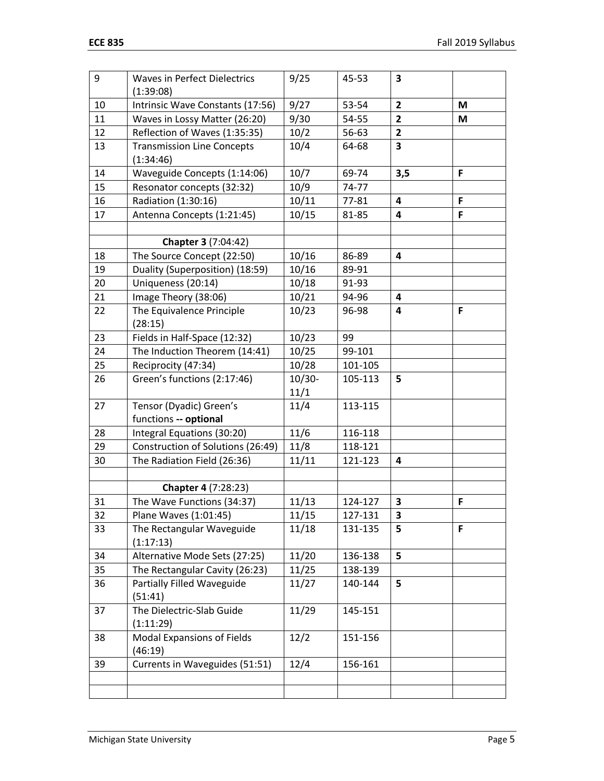| 9  | <b>Waves in Perfect Dielectrics</b> | 9/25      | 45-53   | 3                       |   |
|----|-------------------------------------|-----------|---------|-------------------------|---|
|    | (1:39:08)                           |           |         |                         |   |
| 10 | Intrinsic Wave Constants (17:56)    | 9/27      | 53-54   | $\overline{2}$          | M |
| 11 | Waves in Lossy Matter (26:20)       | 9/30      | 54-55   | $\overline{\mathbf{2}}$ | M |
| 12 | Reflection of Waves (1:35:35)       | 10/2      | 56-63   | $\mathbf{2}$            |   |
| 13 | <b>Transmission Line Concepts</b>   | 10/4      | 64-68   | 3                       |   |
|    | (1:34:46)                           |           |         |                         |   |
| 14 | Waveguide Concepts (1:14:06)        | 10/7      | 69-74   | 3,5                     | F |
| 15 | Resonator concepts (32:32)          | 10/9      | 74-77   |                         |   |
| 16 | Radiation (1:30:16)                 | 10/11     | 77-81   | 4                       | F |
| 17 | Antenna Concepts (1:21:45)          | 10/15     | 81-85   | 4                       | F |
|    |                                     |           |         |                         |   |
|    | Chapter 3 (7:04:42)                 |           |         |                         |   |
| 18 | The Source Concept (22:50)          | 10/16     | 86-89   | 4                       |   |
| 19 | Duality (Superposition) (18:59)     | 10/16     | 89-91   |                         |   |
| 20 | Uniqueness (20:14)                  | 10/18     | 91-93   |                         |   |
| 21 | Image Theory (38:06)                | 10/21     | 94-96   | 4                       |   |
| 22 | The Equivalence Principle           | 10/23     | 96-98   | 4                       | F |
|    | (28:15)                             |           |         |                         |   |
| 23 | Fields in Half-Space (12:32)        | 10/23     | 99      |                         |   |
| 24 | The Induction Theorem (14:41)       | 10/25     | 99-101  |                         |   |
| 25 | Reciprocity (47:34)                 | 10/28     | 101-105 |                         |   |
| 26 | Green's functions (2:17:46)         | $10/30 -$ | 105-113 | 5                       |   |
|    |                                     | 11/1      |         |                         |   |
| 27 | Tensor (Dyadic) Green's             | 11/4      | 113-115 |                         |   |
|    | functions -- optional               |           |         |                         |   |
| 28 | Integral Equations (30:20)          | 11/6      | 116-118 |                         |   |
| 29 | Construction of Solutions (26:49)   | 11/8      | 118-121 |                         |   |
| 30 | The Radiation Field (26:36)         | 11/11     | 121-123 | 4                       |   |
|    |                                     |           |         |                         |   |
|    | Chapter 4 (7:28:23)                 |           |         |                         |   |
| 31 | The Wave Functions (34:37)          | 11/13     | 124-127 | 3                       | F |
| 32 | Plane Waves (1:01:45)               | 11/15     | 127-131 | 3                       |   |
| 33 | The Rectangular Waveguide           | 11/18     | 131-135 | 5                       | F |
|    | (1:17:13)                           |           |         |                         |   |
| 34 | Alternative Mode Sets (27:25)       | 11/20     | 136-138 | 5                       |   |
| 35 | The Rectangular Cavity (26:23)      | 11/25     | 138-139 |                         |   |
| 36 | Partially Filled Waveguide          | 11/27     | 140-144 | 5                       |   |
|    | (51:41)                             |           |         |                         |   |
| 37 | The Dielectric-Slab Guide           | 11/29     | 145-151 |                         |   |
|    | (1:11:29)                           |           |         |                         |   |
| 38 | <b>Modal Expansions of Fields</b>   | 12/2      | 151-156 |                         |   |
|    | (46:19)                             |           |         |                         |   |
| 39 | Currents in Waveguides (51:51)      | 12/4      | 156-161 |                         |   |
|    |                                     |           |         |                         |   |
|    |                                     |           |         |                         |   |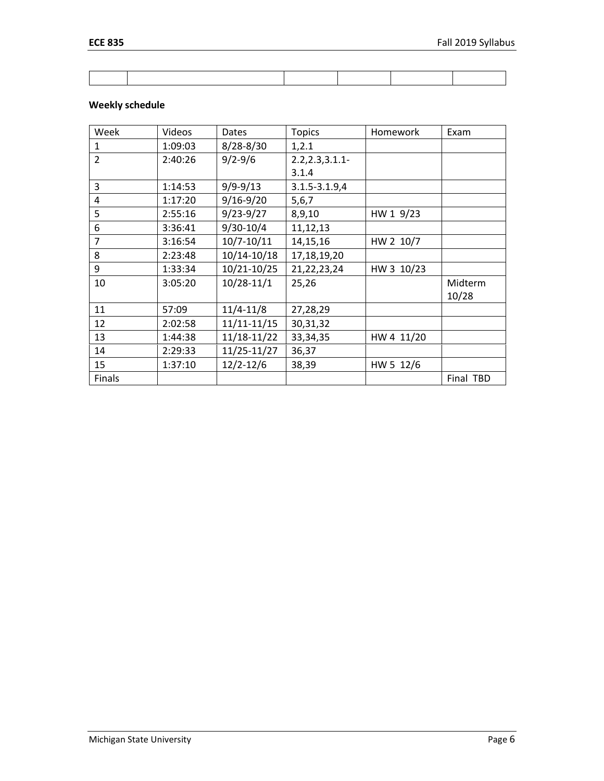#### **Weekly schedule**

| Week           | Videos  | Dates         | <b>Topics</b>     | Homework   | Exam      |
|----------------|---------|---------------|-------------------|------------|-----------|
| $\mathbf{1}$   | 1:09:03 | $8/28 - 8/30$ | 1, 2.1            |            |           |
| $\overline{2}$ | 2:40:26 | $9/2 - 9/6$   | 2.2, 2.3, 3.1.1   |            |           |
|                |         |               | 3.1.4             |            |           |
| 3              | 1:14:53 | $9/9 - 9/13$  | $3.1.5 - 3.1.9,4$ |            |           |
| 4              | 1:17:20 | $9/16 - 9/20$ | 5, 6, 7           |            |           |
| 5              | 2:55:16 | $9/23 - 9/27$ | 8,9,10            | HW 1 9/23  |           |
| 6              | 3:36:41 | $9/30 - 10/4$ | 11,12,13          |            |           |
| 7              | 3:16:54 | 10/7-10/11    | 14,15,16          | HW 2 10/7  |           |
| 8              | 2:23:48 | 10/14-10/18   | 17,18,19,20       |            |           |
| 9              | 1:33:34 | 10/21-10/25   | 21, 22, 23, 24    | HW 3 10/23 |           |
| 10             | 3:05:20 | 10/28-11/1    | 25,26             |            | Midterm   |
|                |         |               |                   |            | 10/28     |
| 11             | 57:09   | $11/4 - 11/8$ | 27,28,29          |            |           |
| 12             | 2:02:58 | 11/11-11/15   | 30, 31, 32        |            |           |
| 13             | 1:44:38 | 11/18-11/22   | 33, 34, 35        | HW 4 11/20 |           |
| 14             | 2:29:33 | 11/25-11/27   | 36,37             |            |           |
| 15             | 1:37:10 | $12/2 - 12/6$ | 38,39             | HW 5 12/6  |           |
| Finals         |         |               |                   |            | Final TBD |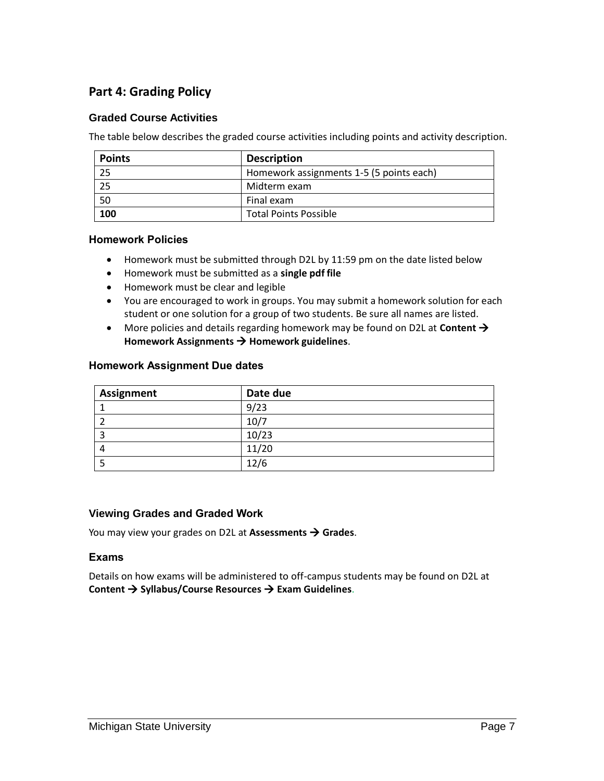# **Part 4: Grading Policy**

#### **Graded Course Activities**

The table below describes the graded course activities including points and activity description.

| <b>Points</b> | <b>Description</b>                       |  |
|---------------|------------------------------------------|--|
| 25            | Homework assignments 1-5 (5 points each) |  |
| 25            | Midterm exam                             |  |
| 50            | Final exam                               |  |
| 100           | <b>Total Points Possible</b>             |  |

#### **Homework Policies**

- Homework must be submitted through D2L by 11:59 pm on the date listed below
- Homework must be submitted as a **single pdf file**
- Homework must be clear and legible
- You are encouraged to work in groups. You may submit a homework solution for each student or one solution for a group of two students. Be sure all names are listed.
- More policies and details regarding homework may be found on D2L at **Content Homework Assignments Homework guidelines**.

#### **Homework Assignment Due dates**

| Assignment | Date due |
|------------|----------|
|            | 9/23     |
|            | 10/7     |
|            | 10/23    |
| 4          | 11/20    |
|            | 12/6     |

#### **Viewing Grades and Graded Work**

You may view your grades on D2L at **Assessments Grades**.

#### **Exams**

Details on how exams will be administered to off-campus students may be found on D2L at **Content Syllabus/Course Resources Exam Guidelines**.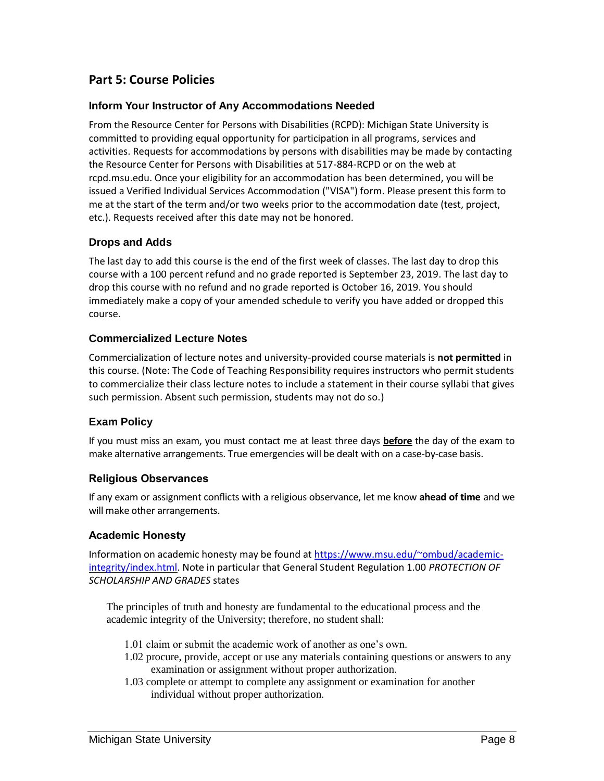## **Part 5: Course Policies**

#### **Inform Your Instructor of Any Accommodations Needed**

From the Resource Center for Persons with Disabilities (RCPD): Michigan State University is committed to providing equal opportunity for participation in all programs, services and activities. Requests for accommodations by persons with disabilities may be made by contacting the Resource Center for Persons with Disabilities at 517-884-RCPD or on the web at rcpd.msu.edu. Once your eligibility for an accommodation has been determined, you will be issued a Verified Individual Services Accommodation ("VISA") form. Please present this form to me at the start of the term and/or two weeks prior to the accommodation date (test, project, etc.). Requests received after this date may not be honored.

#### **Drops and Adds**

The last day to add this course is the end of the first week of classes. The last day to drop this course with a 100 percent refund and no grade reported is September 23, 2019. The last day to drop this course with no refund and no grade reported is October 16, 2019. You should immediately make a copy of your amended schedule to verify you have added or dropped this course.

#### **Commercialized Lecture Notes**

Commercialization of lecture notes and university-provided course materials is **not permitted** in this course. (Note: The Code of Teaching Responsibility requires instructors who permit students to commercialize their class lecture notes to include a statement in their course syllabi that gives such permission. Absent such permission, students may not do so.)

#### **Exam Policy**

If you must miss an exam, you must contact me at least three days **before** the day of the exam to make alternative arrangements. True emergencies will be dealt with on a case-by-case basis.

#### **Religious Observances**

If any exam or assignment conflicts with a religious observance, let me know **ahead of time** and we will make other arrangements.

#### **Academic Honesty**

Information on academic honesty may be found at [https://www.msu.edu/~ombud/academic](https://www.msu.edu/~ombud/academic-integrity/index.html)[integrity/index.html.](https://www.msu.edu/~ombud/academic-integrity/index.html) Note in particular that General Student Regulation 1.00 *PROTECTION OF SCHOLARSHIP AND GRADES* states

The principles of truth and honesty are fundamental to the educational process and the academic integrity of the University; therefore, no student shall:

- 1.01 claim or submit the academic work of another as one's own.
- 1.02 procure, provide, accept or use any materials containing questions or answers to any examination or assignment without proper authorization.
- 1.03 complete or attempt to complete any assignment or examination for another individual without proper authorization.